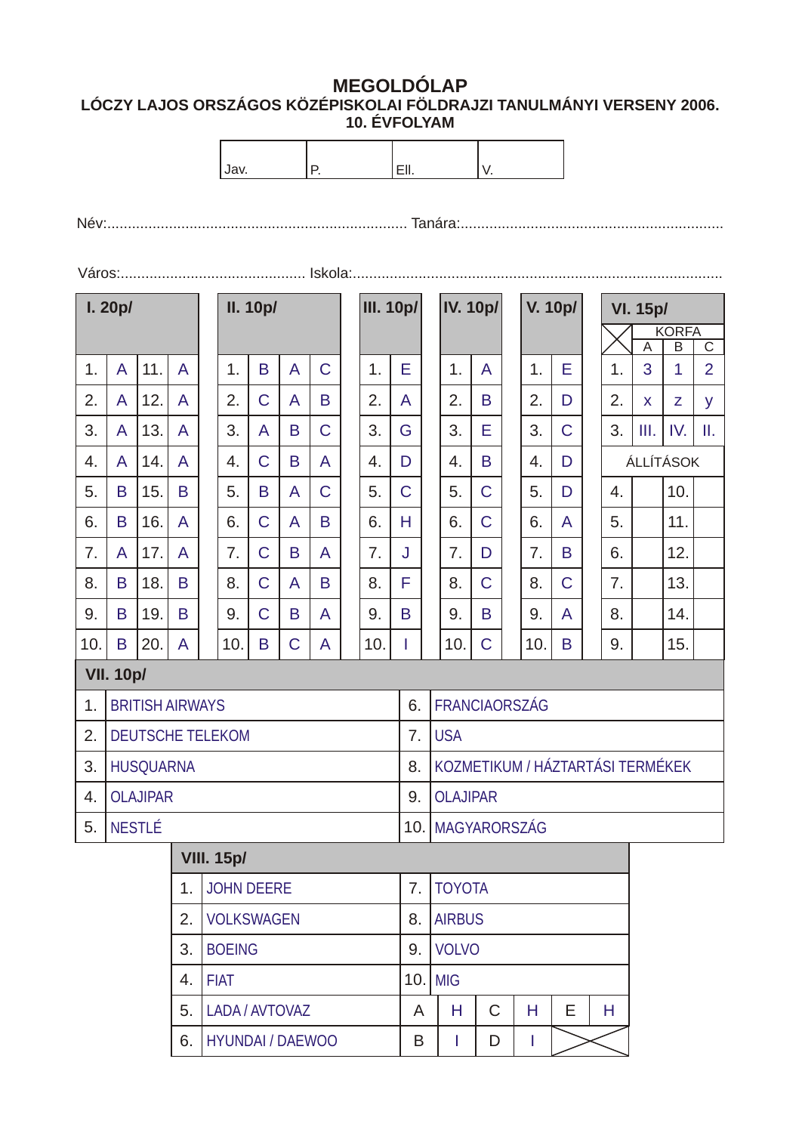## **MEGOLDÓLAP LÓCZY LAJOS ORSZÁGOS KÖZÉPISKOLAI FÖLDRAJZI TANULMÁNYI VERSENY 2006. 10. ÉVFOLYAM**

|      |                               |                        |                |  | Ρ.                |                |                |                |    | EII.      |                 |               | V.                               |                |   |         |             |                                           |                                 |          |                       |                |  |
|------|-------------------------------|------------------------|----------------|--|-------------------|----------------|----------------|----------------|----|-----------|-----------------|---------------|----------------------------------|----------------|---|---------|-------------|-------------------------------------------|---------------------------------|----------|-----------------------|----------------|--|
| Jav. |                               |                        |                |  |                   |                |                |                |    |           |                 |               |                                  |                |   |         |             |                                           |                                 |          |                       |                |  |
|      |                               |                        |                |  |                   |                |                |                |    |           |                 |               |                                  |                |   |         |             |                                           |                                 |          |                       |                |  |
|      |                               |                        |                |  |                   |                |                |                |    |           |                 |               |                                  |                |   |         |             |                                           |                                 |          |                       |                |  |
|      |                               |                        |                |  |                   |                |                |                |    |           |                 |               |                                  |                |   |         |             |                                           |                                 |          |                       |                |  |
|      | l.20p/                        |                        |                |  | <b>II. 10p/</b>   |                |                |                |    | III. 10p/ |                 |               | <b>IV. 10p/</b>                  |                |   | V. 10p/ |             |                                           | <b>VI. 15p/</b><br><b>KORFA</b> |          |                       |                |  |
|      |                               |                        |                |  |                   |                |                |                |    |           |                 |               |                                  |                |   |         |             | $\overline{\mathsf{B}}$<br>$\overline{A}$ |                                 |          | $\overline{\text{c}}$ |                |  |
| 1.   | A                             | 11.                    | $\overline{A}$ |  | 1.                | B              | $\overline{A}$ | $\mathsf{C}$   |    | 1.        | E               |               | 1.                               | A              |   | 1.      | E           |                                           | 1.                              | 3        | 1                     | $\overline{2}$ |  |
| 2.   | A                             | 12.                    | $\overline{A}$ |  | 2.                | $\mathsf{C}$   | A              | B              |    | 2.        | A               |               | 2.                               | B              |   | 2.      | D           |                                           | 2.                              | <b>X</b> | Z                     | y              |  |
| 3.   | A                             | 13.                    | $\overline{A}$ |  | 3.                | A              | B              | $\mathsf{C}$   |    | 3.        | G               |               | 3.                               | Е              |   | 3.      | $\mathsf C$ |                                           | 3.                              | Ш.       | IV.                   | Ш.             |  |
| 4.   | A                             | 14.                    | $\overline{A}$ |  | 4.                | $\overline{C}$ | B              | $\mathsf{A}$   |    | 4.        | D               |               | 4.                               | B              |   | 4.      | D           |                                           |                                 |          | ÁLLÍTÁSOK             |                |  |
| 5.   | B                             | 15.                    | B              |  | 5.                | B              | $\overline{A}$ | $\mathsf{C}$   |    | 5.        | $\mathsf{C}$    |               | 5.                               | $\mathsf{C}$   |   | 5.      | D           |                                           | 4.                              |          | 10.                   |                |  |
| 6.   | B                             | 16.                    | $\mathsf{A}$   |  | 6.                | $\mathsf C$    | $\overline{A}$ | B              |    | 6.        | H.              |               | 6.                               | $\overline{C}$ |   | 6.      | A           |                                           | 5.                              |          | 11.                   |                |  |
| 7.   | A                             | 17.                    | $\mathsf{A}$   |  | 7.                | $\overline{C}$ | B              | $\overline{A}$ |    | 7.        | J               |               | 7.                               | D              |   | 7.      | B           |                                           | 6.                              |          | 12.                   |                |  |
| 8.   | B                             | 18.                    | B              |  | 8.                | $\mathsf C$    | A              | B              |    | 8.        | F               |               | 8.                               | $\overline{C}$ |   | 8.      | $\mathsf C$ |                                           | 7.                              |          | 13.                   |                |  |
| 9.   | B                             | 19.                    | B              |  | 9.                | $\mathsf C$    | B              | $\overline{A}$ |    | 9.        | B               |               | 9.                               | B              |   | 9.      | A           |                                           | 8.                              |          | 14.                   |                |  |
| 10.  | B                             | 20.                    | $\mathsf{A}$   |  | 10.               | B              | C              | A              |    | 10.       | L               |               | 10.                              | $\mathsf C$    |   | 10.     | B           |                                           | 9.                              |          | 15.                   |                |  |
|      | <b>VII. 10p/</b>              |                        |                |  |                   |                |                |                |    |           |                 |               |                                  |                |   |         |             |                                           |                                 |          |                       |                |  |
| 1.   |                               | <b>BRITISH AIRWAYS</b> |                |  |                   |                |                |                |    |           | 6.              |               | <b>FRANCIAORSZÁG</b>             |                |   |         |             |                                           |                                 |          |                       |                |  |
| 2.   |                               | DEUTSCHE TELEKOM       |                |  |                   |                |                |                |    |           | 7.              |               | <b>USA</b>                       |                |   |         |             |                                           |                                 |          |                       |                |  |
| 3.   |                               | <b>HUSQUARNA</b>       |                |  |                   |                |                |                |    |           | 8.              |               | KOZMETIKUM / HÁZTARTÁSI TERMÉKEK |                |   |         |             |                                           |                                 |          |                       |                |  |
| 4.   | <b>OLAJIPAR</b>               |                        |                |  |                   |                |                |                | 9. |           | <b>OLAJIPAR</b> |               |                                  |                |   |         |             |                                           |                                 |          |                       |                |  |
| 5.   | NESTLÉ                        |                        |                |  |                   |                |                |                |    |           |                 |               | 10.   MAGYARORSZÁG               |                |   |         |             |                                           |                                 |          |                       |                |  |
|      |                               |                        |                |  | <b>VIII. 15p/</b> |                |                |                |    |           |                 |               |                                  |                |   |         |             |                                           |                                 |          |                       |                |  |
|      | <b>JOHN DEERE</b><br>1.       |                        |                |  |                   |                |                |                | 7. |           | <b>TOYOTA</b>   |               |                                  |                |   |         |             |                                           |                                 |          |                       |                |  |
|      | <b>VOLKSWAGEN</b><br>2.       |                        |                |  |                   |                |                |                |    | 8.        |                 | <b>AIRBUS</b> |                                  |                |   |         |             |                                           |                                 |          |                       |                |  |
|      | 3.<br><b>BOEING</b>           |                        |                |  |                   |                |                |                |    | 9.        |                 | <b>VOLVO</b>  |                                  |                |   |         |             |                                           |                                 |          |                       |                |  |
|      | <b>FIAT</b><br>4.             |                        |                |  |                   |                |                |                |    |           |                 | 10. MIG       |                                  |                |   |         |             |                                           |                                 |          |                       |                |  |
|      | LADA / AVTOVAZ<br>5.          |                        |                |  |                   |                |                |                |    | A         |                 | Н             | $\mathsf C$                      |                | H | E       |             | Н                                         |                                 |          |                       |                |  |
|      | <b>HYUNDAI / DAEWOO</b><br>6. |                        |                |  |                   |                |                |                |    | B         |                 | L             | D                                |                | T |         |             |                                           |                                 |          |                       |                |  |
|      |                               |                        |                |  |                   |                |                |                |    |           |                 |               |                                  |                |   |         |             |                                           |                                 |          |                       |                |  |